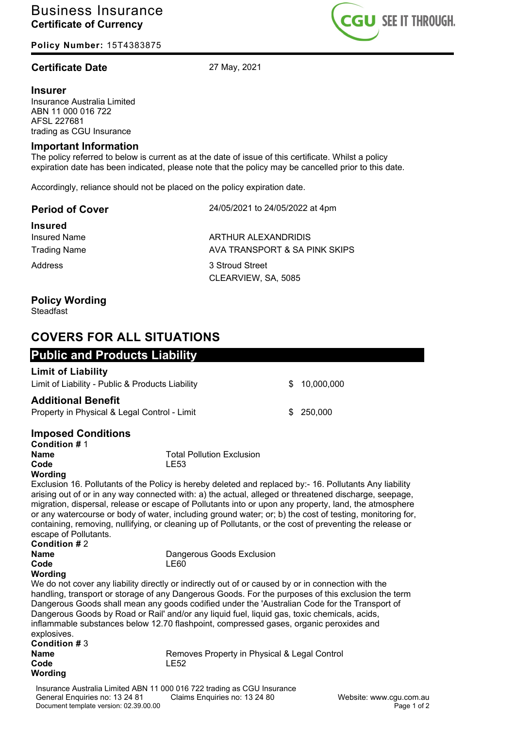**Policy Number:** 15T4383875

## **Certificate Date** 27 May, 2021

#### **Insurer**

Insurance Australia Limited ABN 11 000 016 722 AFSL 227681 trading as CGU Insurance

#### **Important Information**

The policy referred to below is current as at the date of issue of this certificate. Whilst a policy expiration date has been indicated, please note that the policy may be cancelled prior to this date.

Accordingly, reliance should not be placed on the policy expiration date.

| <b>Period of Cover</b> | 24/05/2021 to 24/05/2022 at 4pm |
|------------------------|---------------------------------|
| <b>Insured</b>         |                                 |
| <b>Insured Name</b>    | ARTHUR ALEXANDRIDIS             |
| <b>Trading Name</b>    | AVA TRANSPORT & SA PINK SKIPS   |
| Address                | 3 Stroud Street                 |
|                        | CLEARVIEW, SA, 5085             |
| <b>Doliey Wording</b>  |                                 |

### **Policy Wording**

Steadfast

# **COVERS FOR ALL SITUATIONS**

| <b>Public and Products Liability</b>             |              |
|--------------------------------------------------|--------------|
| <b>Limit of Liability</b>                        |              |
| Limit of Liability - Public & Products Liability | \$10,000,000 |
| <b>Additional Benefit</b>                        |              |
| Property in Physical & Legal Control - Limit     | \$ 250,000   |
| المتحافظ فالمتحاف والمتحام والمحافظ              |              |

## **Imposed Conditions**

| <b>Condition # 1</b> |                                  |
|----------------------|----------------------------------|
| Name                 | <b>Total Pollution Exclusion</b> |
| Code                 | LE53                             |
| \\\_~din~            |                                  |

## **Wording**

Exclusion 16. Pollutants of the Policy is hereby deleted and replaced by:- 16. Pollutants Any liability arising out of or in any way connected with: a) the actual, alleged or threatened discharge, seepage, migration, dispersal, release or escape of Pollutants into or upon any property, land, the atmosphere or any watercourse or body of water, including ground water; or; b) the cost of testing, monitoring for, containing, removing, nullifying, or cleaning up of Pollutants, or the cost of preventing the release or escape of Pollutants. **Condition #** 2

| Condition $#Z$       |                           |
|----------------------|---------------------------|
| Name                 | Dangerous Goods Exclusion |
| Code                 | LE60                      |
| $1.4.1 - 1.11 - 1.1$ |                           |

**Wording**

We do not cover any liability directly or indirectly out of or caused by or in connection with the handling, transport or storage of any Dangerous Goods. For the purposes of this exclusion the term Dangerous Goods shall mean any goods codified under the 'Australian Code for the Transport of Dangerous Goods by Road or Rail' and/or any liquid fuel, liquid gas, toxic chemicals, acids, inflammable substances below 12.70 flashpoint, compressed gases, organic peroxides and explosives.

| Condition # 3 |                                              |
|---------------|----------------------------------------------|
| Name          | Removes Property in Physical & Legal Control |
| Code          | LE52                                         |
| Wording       |                                              |